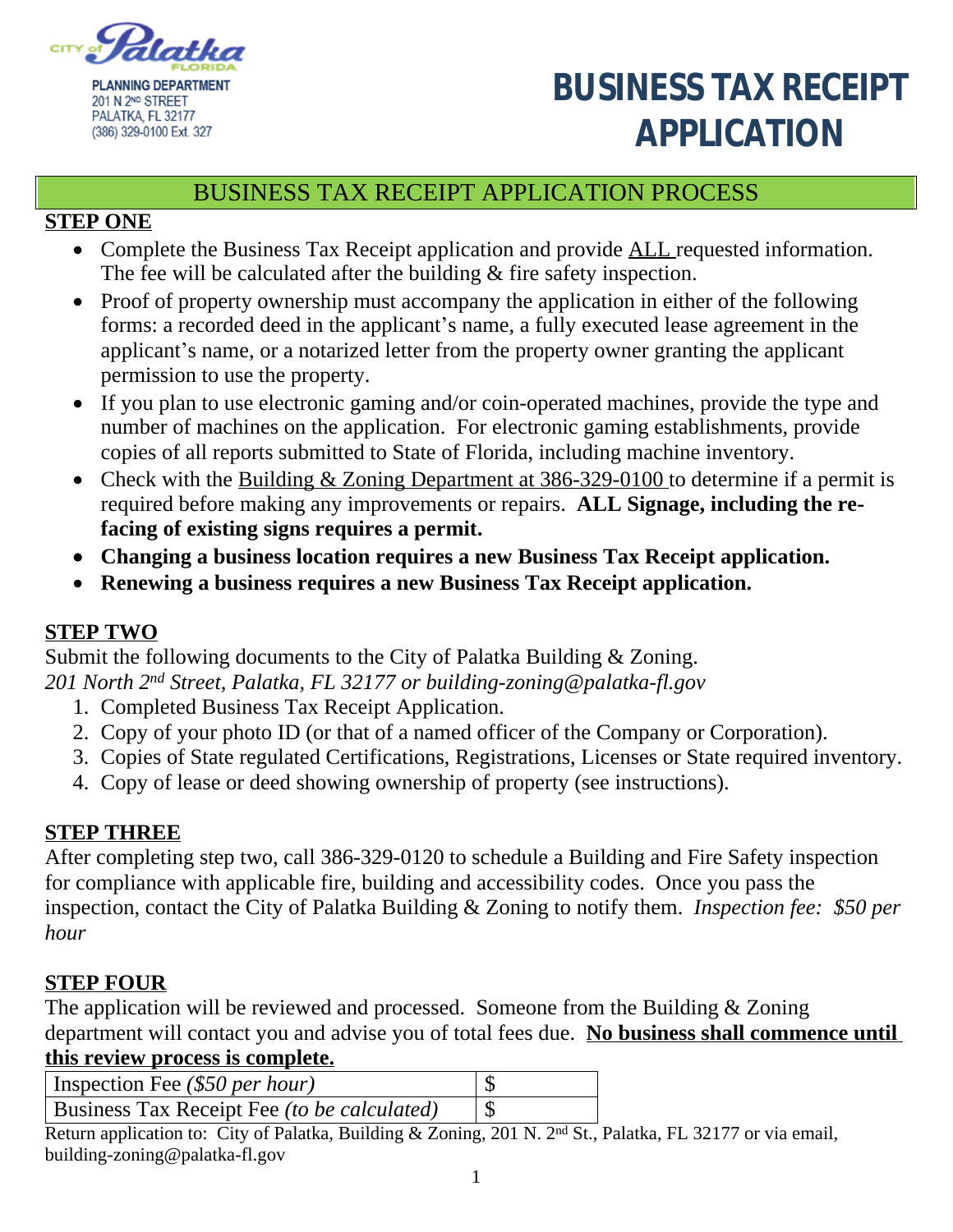

# **BUSINESS TAX RECEIPT** PALATKA, FL 32177<br>(386) 329-0100 Ext. 327<br>**APPLICATION**

## BUSINESS TAX RECEIPT APPLICATION PROCESS

#### **STEP ONE**

- Complete the Business Tax Receipt application and provide **ALL** requested information. The fee will be calculated after the building & fire safety inspection.
- Proof of property ownership must accompany the application in either of the following forms: a recorded deed in the applicant's name, a fully executed lease agreement in the applicant's name, or a notarized letter from the property owner granting the applicant permission to use the property.
- If you plan to use electronic gaming and/or coin-operated machines, provide the type and number of machines on the application. For electronic gaming establishments, provide copies of all reports submitted to State of Florida, including machine inventory.
- Check with the Building & Zoning Department at 386-329-0100 to determine if a permit is required before making any improvements or repairs. **ALL Signage, including the refacing of existing signs requires a permit.**
- **Changing a business location requires a new Business Tax Receipt application.**
- **Renewing a business requires a new Business Tax Receipt application.**

### **STEP TWO**

Submit the following documents to the City of Palatka Building & Zoning. *201 North 2nd Street, Palatka, FL 32177 or building-zoning@palatka-fl.gov*

- 1. Completed Business Tax Receipt Application.
- 2. Copy of your photo ID (or that of a named officer of the Company or Corporation).
- 3. Copies of State regulated Certifications, Registrations, Licenses or State required inventory.
- 4. Copy of lease or deed showing ownership of property (see instructions).

#### **STEP THREE**

After completing step two, call 386-329-0120 to schedule a Building and Fire Safety inspection for compliance with applicable fire, building and accessibility codes. Once you pass the inspection, contact the City of Palatka Building & Zoning to notify them. *Inspection fee: \$50 per hour*

### **STEP FOUR**

The application will be reviewed and processed. Someone from the Building & Zoning department will contact you and advise you of total fees due. **No business shall commence until** 

## **this review process is complete.**

| Inspection Fee $(\$50$ per hour)            |  |
|---------------------------------------------|--|
| Business Tax Receipt Fee (to be calculated) |  |

Return application to: City of Palatka, Building & Zoning, 201 N. 2<sup>nd</sup> St., Palatka, FL 32177 or via email, building-zoning@palatka-fl.gov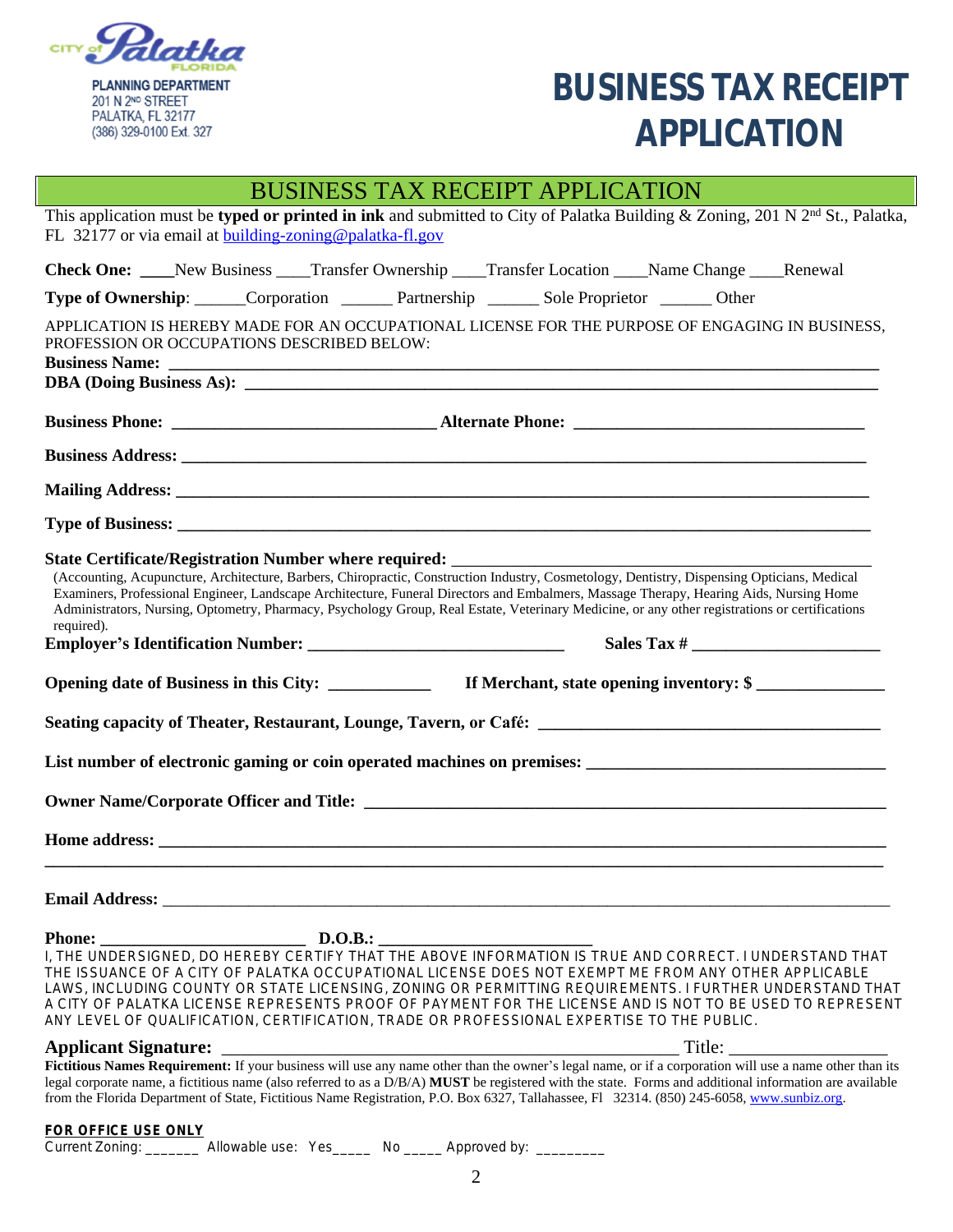

**BUSINESS TAX RECEIPT** PALATKA, FL 32177<br>(386) 329-0100 Ext. 327

## BUSINESS TAX RECEIPT APPLICATION

| This application must be typed or printed in ink and submitted to City of Palatka Building & Zoning, 201 N $2nd$ St., Palatka,<br>FL 32177 or via email at building-zoning@palatka-fl.gov |                                                                                                                                                                                                                                                                                                                                                                                                                                                                                                                                               |  |
|-------------------------------------------------------------------------------------------------------------------------------------------------------------------------------------------|-----------------------------------------------------------------------------------------------------------------------------------------------------------------------------------------------------------------------------------------------------------------------------------------------------------------------------------------------------------------------------------------------------------------------------------------------------------------------------------------------------------------------------------------------|--|
|                                                                                                                                                                                           | Check One: _____New Business _____Transfer Ownership _____Transfer Location _____Name Change _____Renewal                                                                                                                                                                                                                                                                                                                                                                                                                                     |  |
|                                                                                                                                                                                           | Type of Ownership: ______Corporation ________ Partnership _______ Sole Proprietor _______ Other                                                                                                                                                                                                                                                                                                                                                                                                                                               |  |
| PROFESSION OR OCCUPATIONS DESCRIBED BELOW:                                                                                                                                                | APPLICATION IS HEREBY MADE FOR AN OCCUPATIONAL LICENSE FOR THE PURPOSE OF ENGAGING IN BUSINESS,<br>Business Name: <u>Discovered and the set of the set of the set of the set of the set of the set of the set of the set of the set of the set of the set of the set of the set of the set of the set of the set of the set of the </u>                                                                                                                                                                                                       |  |
|                                                                                                                                                                                           |                                                                                                                                                                                                                                                                                                                                                                                                                                                                                                                                               |  |
|                                                                                                                                                                                           |                                                                                                                                                                                                                                                                                                                                                                                                                                                                                                                                               |  |
|                                                                                                                                                                                           |                                                                                                                                                                                                                                                                                                                                                                                                                                                                                                                                               |  |
|                                                                                                                                                                                           |                                                                                                                                                                                                                                                                                                                                                                                                                                                                                                                                               |  |
| required).                                                                                                                                                                                | (Accounting, Acupuncture, Architecture, Barbers, Chiropractic, Construction Industry, Cosmetology, Dentistry, Dispensing Opticians, Medical<br>Examiners, Professional Engineer, Landscape Architecture, Funeral Directors and Embalmers, Massage Therapy, Hearing Aids, Nursing Home<br>Administrators, Nursing, Optometry, Pharmacy, Psychology Group, Real Estate, Veterinary Medicine, or any other registrations or certifications                                                                                                       |  |
|                                                                                                                                                                                           |                                                                                                                                                                                                                                                                                                                                                                                                                                                                                                                                               |  |
|                                                                                                                                                                                           | Seating capacity of Theater, Restaurant, Lounge, Tavern, or Café: __________________________________                                                                                                                                                                                                                                                                                                                                                                                                                                          |  |
|                                                                                                                                                                                           |                                                                                                                                                                                                                                                                                                                                                                                                                                                                                                                                               |  |
|                                                                                                                                                                                           |                                                                                                                                                                                                                                                                                                                                                                                                                                                                                                                                               |  |
| <b>Email Address:</b>                                                                                                                                                                     |                                                                                                                                                                                                                                                                                                                                                                                                                                                                                                                                               |  |
| <b>Phone:</b>                                                                                                                                                                             | D.O.B.:<br>I, THE UNDERSIGNED, DO HEREBY CERTIFY THAT THE ABOVE INFORMATION IS TRUE AND CORRECT. I UNDERSTAND THAT<br>THE ISSUANCE OF A CITY OF PALATKA OCCUPATIONAL LICENSE DOES NOT EXEMPT ME FROM ANY OTHER APPLICABLE<br>LAWS, INCLUDING COUNTY OR STATE LICENSING, ZONING OR PERMITTING REQUIREMENTS. I FURTHER UNDERSTAND THAT<br>A CITY OF PALATKA LICENSE REPRESENTS PROOF OF PAYMENT FOR THE LICENSE AND IS NOT TO BE USED TO REPRESENT<br>ANY LEVEL OF QUALIFICATION, CERTIFICATION, TRADE OR PROFESSIONAL EXPERTISE TO THE PUBLIC. |  |
| <b>Applicant Signature:</b>                                                                                                                                                               | Title:                                                                                                                                                                                                                                                                                                                                                                                                                                                                                                                                        |  |
|                                                                                                                                                                                           | Fictitious Names Requirement: If your business will use any name other than the owner's legal name, or if a corporation will use a name other than its<br>legal corporate name, a fictitious name (also referred to as a D/B/A) MUST be registered with the state. Forms and additional information are available<br>from the Florida Department of State, Fictitious Name Registration, P.O. Box 6327, Tallahassee, Fl 32314. (850) 245-6058, www.sunbiz.org.                                                                                |  |
|                                                                                                                                                                                           |                                                                                                                                                                                                                                                                                                                                                                                                                                                                                                                                               |  |

**FOR OFFICE USE ONLY**

Current Zoning: \_\_\_\_\_\_\_\_ Allowable use: Yes\_\_\_\_\_ No \_\_\_\_\_ Approved by: \_